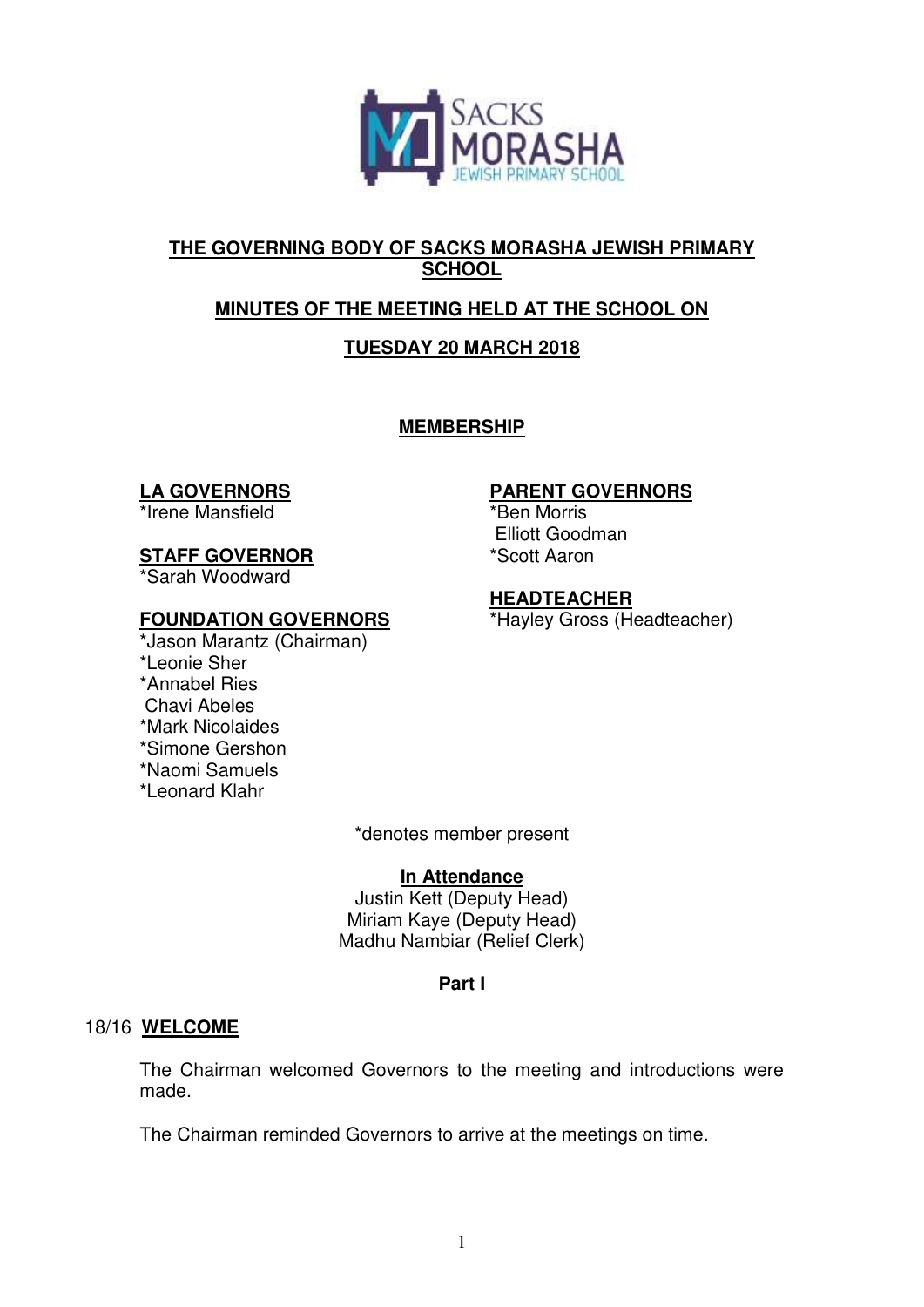

## **THE GOVERNING BODY OF SACKS MORASHA JEWISH PRIMARY SCHOOL**

# **MINUTES OF THE MEETING HELD AT THE SCHOOL ON**

# **TUESDAY 20 MARCH 2018**

**MEMBERSHIP** 

### **LA GOVERNORS**

\*Irene Mansfield

# **STAFF GOVERNOR**

\*Sarah Woodward

## **FOUNDATION GOVERNORS**

\*Jason Marantz (Chairman) \*Leonie Sher \*Annabel Ries Chavi Abeles \*Mark Nicolaides \*Simone Gershon \*Naomi Samuels \*Leonard Klahr

# **PARENT GOVERNORS**

\*Ben Morris Elliott Goodman \*Scott Aaron

## **HEADTEACHER**

\*Hayley Gross (Headteacher)

\*denotes member present

### **In Attendance**

Justin Kett (Deputy Head) Miriam Kaye (Deputy Head) Madhu Nambiar (Relief Clerk)

# **Part I**

### 18/16 **WELCOME**

The Chairman welcomed Governors to the meeting and introductions were made.

The Chairman reminded Governors to arrive at the meetings on time.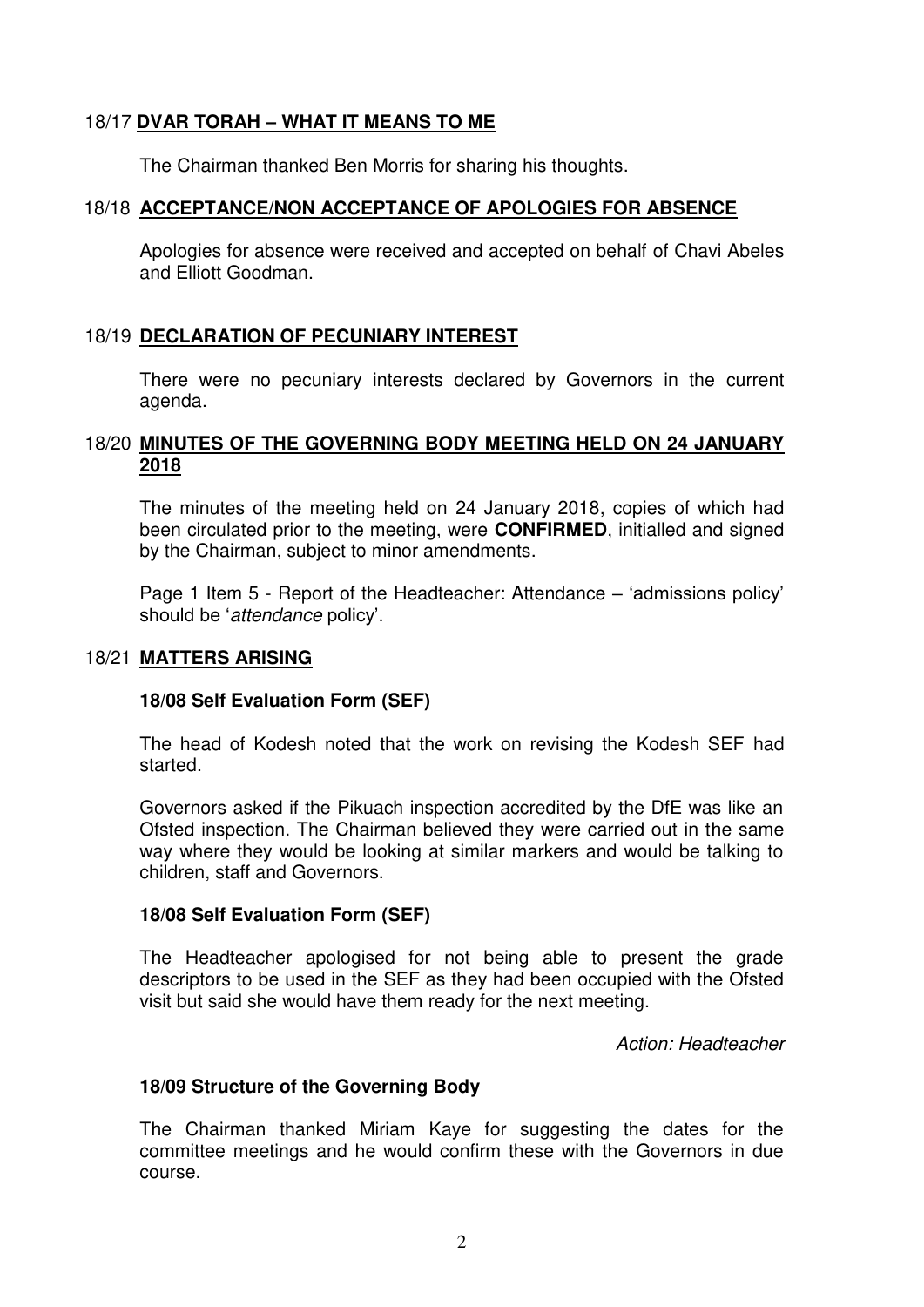### 18/17 **DVAR TORAH – WHAT IT MEANS TO ME**

The Chairman thanked Ben Morris for sharing his thoughts.

#### 18/18 **ACCEPTANCE/NON ACCEPTANCE OF APOLOGIES FOR ABSENCE**

Apologies for absence were received and accepted on behalf of Chavi Abeles and Elliott Goodman.

#### 18/19 **DECLARATION OF PECUNIARY INTEREST**

There were no pecuniary interests declared by Governors in the current agenda.

#### 18/20 **MINUTES OF THE GOVERNING BODY MEETING HELD ON 24 JANUARY 2018**

The minutes of the meeting held on 24 January 2018, copies of which had been circulated prior to the meeting, were **CONFIRMED**, initialled and signed by the Chairman, subject to minor amendments.

Page 1 Item 5 - Report of the Headteacher: Attendance – 'admissions policy' should be '*attendance* policy'.

#### 18/21 **MATTERS ARISING**

#### **18/08 Self Evaluation Form (SEF)**

The head of Kodesh noted that the work on revising the Kodesh SEF had started.

Governors asked if the Pikuach inspection accredited by the DfE was like an Ofsted inspection. The Chairman believed they were carried out in the same way where they would be looking at similar markers and would be talking to children, staff and Governors.

#### **18/08 Self Evaluation Form (SEF)**

The Headteacher apologised for not being able to present the grade descriptors to be used in the SEF as they had been occupied with the Ofsted visit but said she would have them ready for the next meeting.

*Action: Headteacher* 

#### **18/09 Structure of the Governing Body**

The Chairman thanked Miriam Kaye for suggesting the dates for the committee meetings and he would confirm these with the Governors in due course.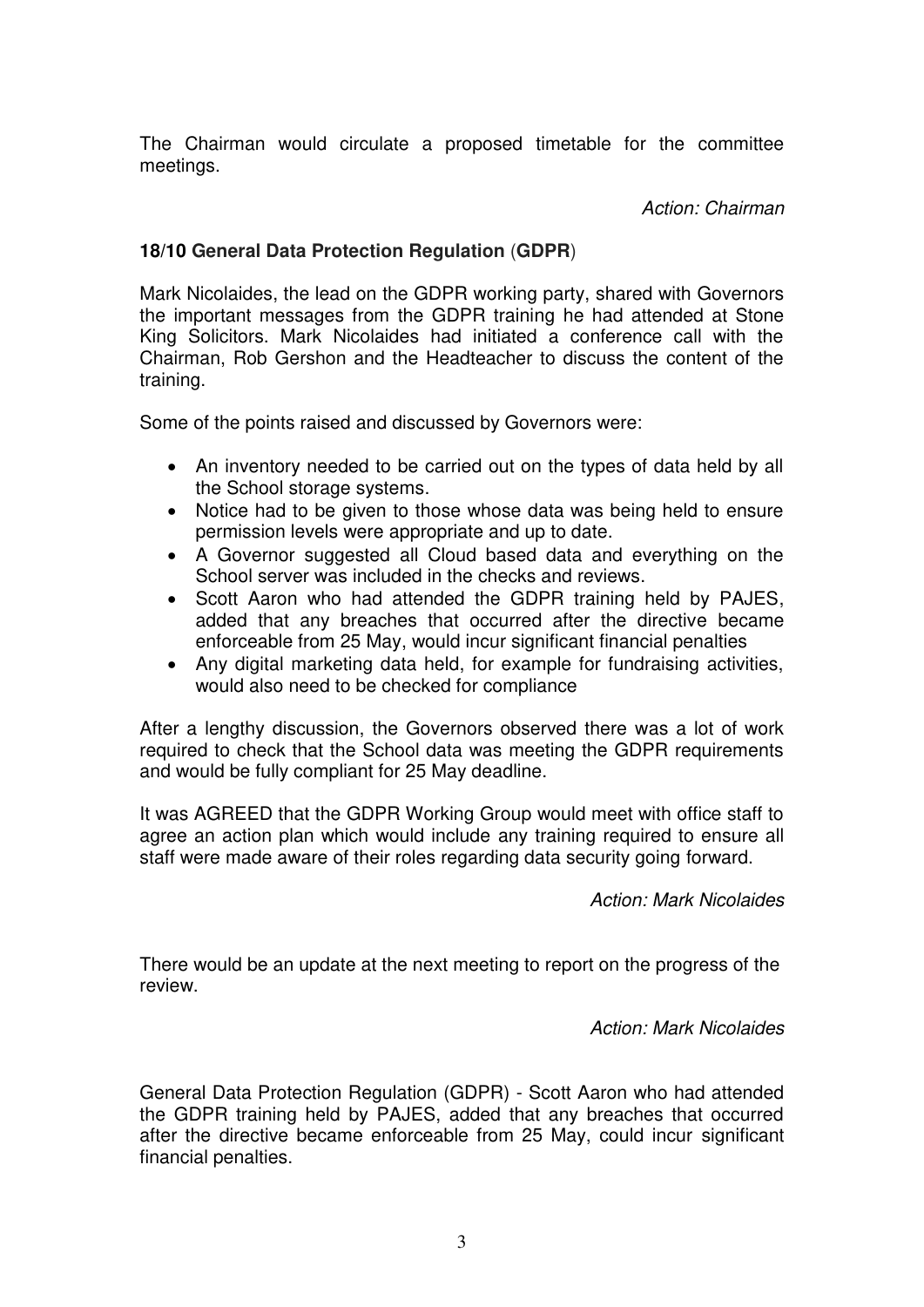The Chairman would circulate a proposed timetable for the committee meetings.

*Action: Chairman* 

### **18/10 General Data Protection Regulation** (**GDPR**)

Mark Nicolaides, the lead on the GDPR working party, shared with Governors the important messages from the GDPR training he had attended at Stone King Solicitors. Mark Nicolaides had initiated a conference call with the Chairman, Rob Gershon and the Headteacher to discuss the content of the training.

Some of the points raised and discussed by Governors were:

- An inventory needed to be carried out on the types of data held by all the School storage systems.
- Notice had to be given to those whose data was being held to ensure permission levels were appropriate and up to date.
- A Governor suggested all Cloud based data and everything on the School server was included in the checks and reviews.
- Scott Aaron who had attended the GDPR training held by PAJES, added that any breaches that occurred after the directive became enforceable from 25 May, would incur significant financial penalties
- Any digital marketing data held, for example for fundraising activities, would also need to be checked for compliance

After a lengthy discussion, the Governors observed there was a lot of work required to check that the School data was meeting the GDPR requirements and would be fully compliant for 25 May deadline.

It was AGREED that the GDPR Working Group would meet with office staff to agree an action plan which would include any training required to ensure all staff were made aware of their roles regarding data security going forward.

*Action: Mark Nicolaides* 

There would be an update at the next meeting to report on the progress of the review.

*Action: Mark Nicolaides* 

General Data Protection Regulation (GDPR) - Scott Aaron who had attended the GDPR training held by PAJES, added that any breaches that occurred after the directive became enforceable from 25 May, could incur significant financial penalties.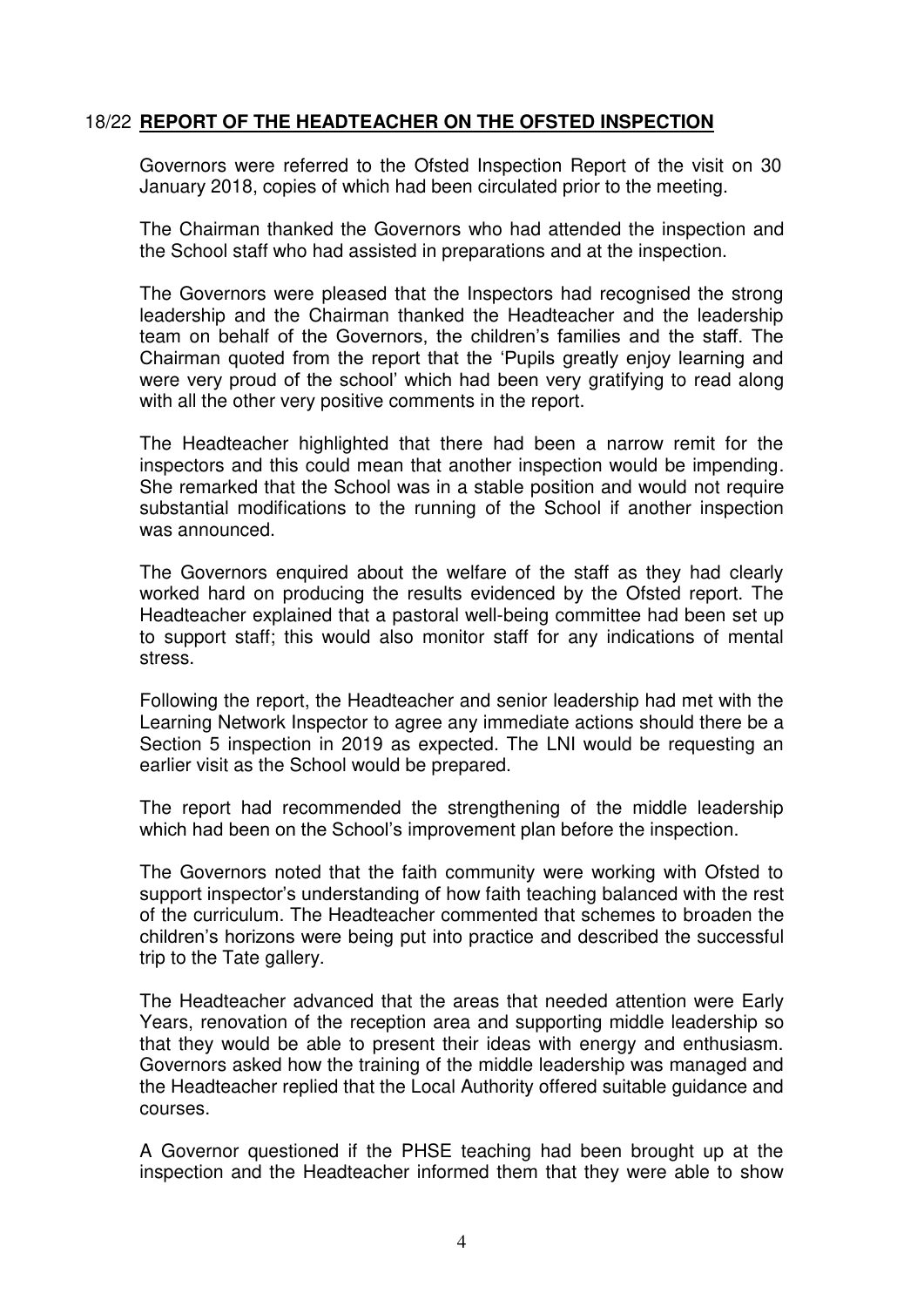#### 18/22 **REPORT OF THE HEADTEACHER ON THE OFSTED INSPECTION**

Governors were referred to the Ofsted Inspection Report of the visit on 30 January 2018, copies of which had been circulated prior to the meeting.

 The Chairman thanked the Governors who had attended the inspection and the School staff who had assisted in preparations and at the inspection.

 The Governors were pleased that the Inspectors had recognised the strong leadership and the Chairman thanked the Headteacher and the leadership team on behalf of the Governors, the children's families and the staff. The Chairman quoted from the report that the 'Pupils greatly enjoy learning and were very proud of the school' which had been very gratifying to read along with all the other very positive comments in the report.

 The Headteacher highlighted that there had been a narrow remit for the inspectors and this could mean that another inspection would be impending. She remarked that the School was in a stable position and would not require substantial modifications to the running of the School if another inspection was announced.

 The Governors enquired about the welfare of the staff as they had clearly worked hard on producing the results evidenced by the Ofsted report. The Headteacher explained that a pastoral well-being committee had been set up to support staff; this would also monitor staff for any indications of mental stress.

 Following the report, the Headteacher and senior leadership had met with the Learning Network Inspector to agree any immediate actions should there be a Section 5 inspection in 2019 as expected. The LNI would be requesting an earlier visit as the School would be prepared.

 The report had recommended the strengthening of the middle leadership which had been on the School's improvement plan before the inspection.

 The Governors noted that the faith community were working with Ofsted to support inspector's understanding of how faith teaching balanced with the rest of the curriculum. The Headteacher commented that schemes to broaden the children's horizons were being put into practice and described the successful trip to the Tate gallery.

 The Headteacher advanced that the areas that needed attention were Early Years, renovation of the reception area and supporting middle leadership so that they would be able to present their ideas with energy and enthusiasm. Governors asked how the training of the middle leadership was managed and the Headteacher replied that the Local Authority offered suitable guidance and courses.

 A Governor questioned if the PHSE teaching had been brought up at the inspection and the Headteacher informed them that they were able to show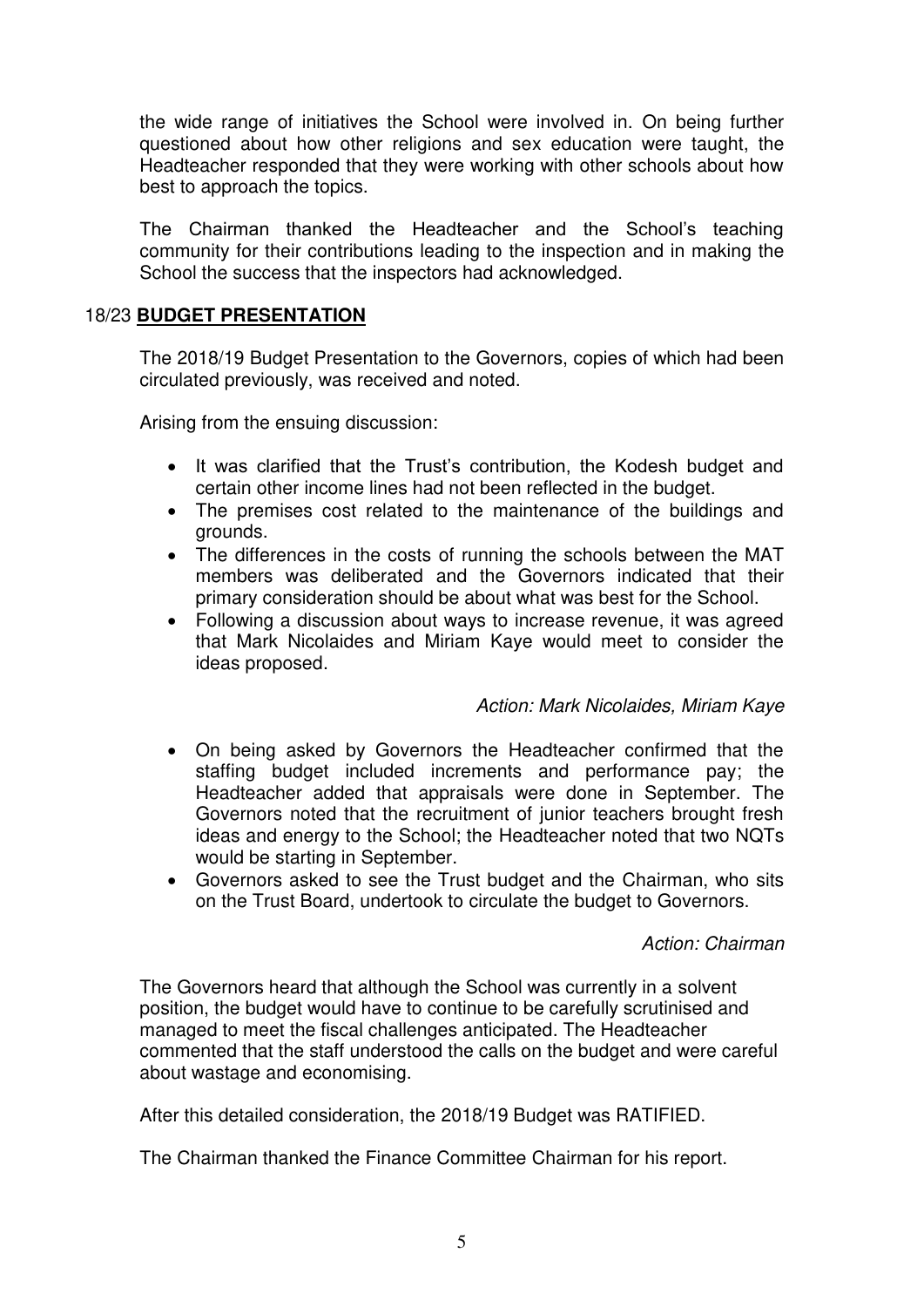the wide range of initiatives the School were involved in. On being further questioned about how other religions and sex education were taught, the Headteacher responded that they were working with other schools about how best to approach the topics.

The Chairman thanked the Headteacher and the School's teaching community for their contributions leading to the inspection and in making the School the success that the inspectors had acknowledged.

### 18/23 **BUDGET PRESENTATION**

 The 2018/19 Budget Presentation to the Governors, copies of which had been circulated previously, was received and noted.

Arising from the ensuing discussion:

- It was clarified that the Trust's contribution, the Kodesh budget and certain other income lines had not been reflected in the budget.
- The premises cost related to the maintenance of the buildings and grounds.
- The differences in the costs of running the schools between the MAT members was deliberated and the Governors indicated that their primary consideration should be about what was best for the School.
- Following a discussion about ways to increase revenue, it was agreed that Mark Nicolaides and Miriam Kaye would meet to consider the ideas proposed.

#### *Action: Mark Nicolaides, Miriam Kaye*

- On being asked by Governors the Headteacher confirmed that the staffing budget included increments and performance pay; the Headteacher added that appraisals were done in September. The Governors noted that the recruitment of junior teachers brought fresh ideas and energy to the School; the Headteacher noted that two NQTs would be starting in September.
- Governors asked to see the Trust budget and the Chairman, who sits on the Trust Board, undertook to circulate the budget to Governors.

#### *Action: Chairman*

The Governors heard that although the School was currently in a solvent position, the budget would have to continue to be carefully scrutinised and managed to meet the fiscal challenges anticipated. The Headteacher commented that the staff understood the calls on the budget and were careful about wastage and economising.

After this detailed consideration, the 2018/19 Budget was RATIFIED.

The Chairman thanked the Finance Committee Chairman for his report.